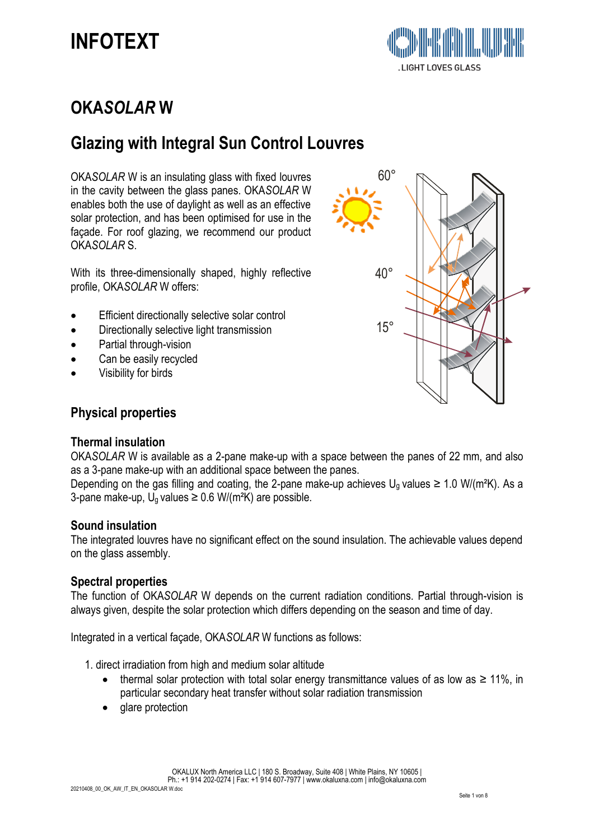# **OKA***SOLAR* **W**

# **Glazing with Integral Sun Control Louvres**

OKA*SOLAR* W is an insulating glass with fixed louvres in the cavity between the glass panes. OKA*SOLAR* W enables both the use of daylight as well as an effective solar protection, and has been optimised for use in the façade. For roof glazing, we recommend our product OKA*SOLAR* S.

With its three-dimensionally shaped, highly reflective profile, OKA*SOLAR* W offers:

- Efficient directionally selective solar control
- Directionally selective light transmission
- Partial through-vision
- Can be easily recycled
- Visibility for birds



# **Physical properties**

### **Thermal insulation**

OKA*SOLAR* W is available as a 2-pane make-up with a space between the panes of 22 mm, and also as a 3-pane make-up with an additional space between the panes.

Depending on the gas filling and coating, the 2-pane make-up achieves  $U_q$  values  $\geq 1.0$  W/(m<sup>2</sup>K). As a 3-pane make-up,  $U_q$  values  $\geq 0.6$  W/(m<sup>2</sup>K) are possible.

#### **Sound insulation**

The integrated louvres have no significant effect on the sound insulation. The achievable values depend on the glass assembly.

### **Spectral properties**

The function of OKA*SOLAR* W depends on the current radiation conditions. Partial through-vision is always given, despite the solar protection which differs depending on the season and time of day.

Integrated in a vertical façade, OKA*SOLAR* W functions as follows:

1. direct irradiation from high and medium solar altitude

- thermal solar protection with total solar energy transmittance values of as low as  $\geq 11\%$ , in particular secondary heat transfer without solar radiation transmission
- glare protection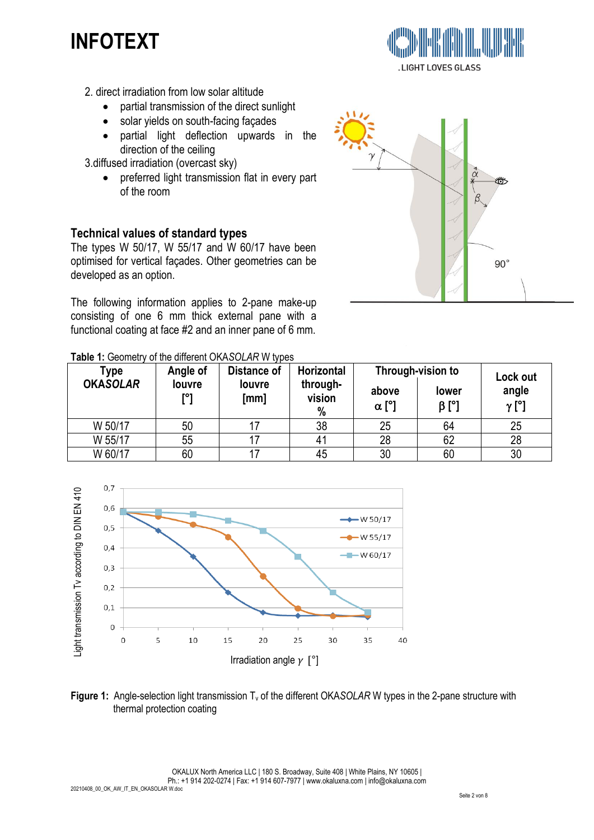- 2. direct irradiation from low solar altitude
	- partial transmission of the direct sunlight
	- solar yields on south-facing façades
	- partial light deflection upwards in the direction of the ceiling
- 3.diffused irradiation (overcast sky)
	- preferred light transmission flat in every part of the room

## **Technical values of standard types**

The types W 50/17, W 55/17 and W 60/17 have been optimised for vertical façades. Other geometries can be developed as an option.

The following information applies to 2-pane make-up consisting of one 6 mm thick external pane with a functional coating at face #2 and an inner pane of 6 mm.



**.LIGHT LOVES GLASS** 

| Table 1: Geometry of the different OKASOLAR W types |  |  |
|-----------------------------------------------------|--|--|
|                                                     |  |  |

| Type            | Angle of      | Distance of    | Horizontal              |                       | Through-vision to    | Lock out              |
|-----------------|---------------|----------------|-------------------------|-----------------------|----------------------|-----------------------|
| <b>OKASOLAR</b> | louvre<br>r°1 | louvre<br>[mm] | through-<br>vision<br>% | above<br>$\alpha$ [°] | lower<br>$\beta$ [°] | angle<br>$\gamma$ [°] |
| W 50/17         | 50            |                | 38                      | 25                    | 64                   | 25                    |
| W 55/17         | 55            |                | 41                      | 28                    | 62                   | 28                    |
| W 60/17         | 60            |                | 45                      | 30                    | 60                   | 30                    |



**Figure 1:** Angle-selection light transmission T<sub>v</sub> of the different OKASOLAR W types in the 2-pane structure with thermal protection coating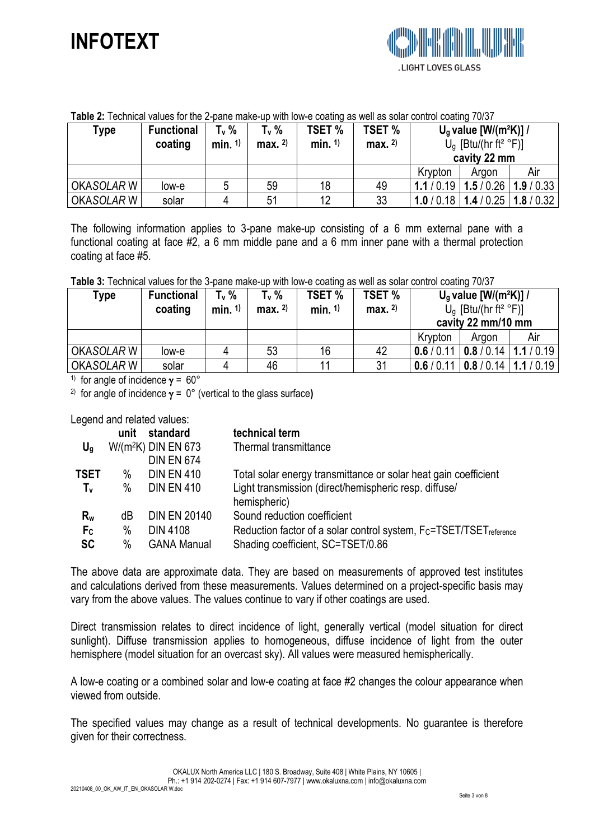| <b>Table 2.</b> Technical values for the Z-pane make-up with low-e coating as well as solar control coating TVDT |                   |            |          |               |               |         |                                      |          |
|------------------------------------------------------------------------------------------------------------------|-------------------|------------|----------|---------------|---------------|---------|--------------------------------------|----------|
| Type                                                                                                             | <b>Functional</b> | T., %      | T., %    | <b>TSET %</b> | <b>TSET %</b> |         | $U_q$ value $[ W/(m^2K)] /$          |          |
|                                                                                                                  | coating           | min. $1$ ) | max. $2$ | min. $1$ )    | max. $2)$     |         | $U_q$ [Btu/(hr ft <sup>2</sup> °F)]  |          |
|                                                                                                                  |                   |            |          |               |               |         | cavity 22 mm                         |          |
|                                                                                                                  |                   |            |          |               |               | Krypton | Argon                                | Air      |
| OKASOLAR W                                                                                                       | low-e             | 5          | 59       | 18            | 49            |         | $1.1/0.19$   $1.5/0.26$              | 1.9/0.33 |
| OKASOLAR W                                                                                                       | solar             | 4          | 51       | 12            | 33            |         | 1.0 / 0.18   1.4 / 0.25   1.8 / 0.32 |          |

#### **Table 2:** Technical values for the 2-pane make-up with low-e coating as well as solar control coating 70/37

The following information applies to 3-pane make-up consisting of a 6 mm external pane with a functional coating at face #2, a 6 mm middle pane and a 6 mm inner pane with a thermal protection coating at face #5.

**Table 3:** Technical values for the 3-pane make-up with low-e coating as well as solar control coating 70/37

| Type       | <b>Functional</b><br>coating | $T_v$ %<br>min. $1$ ) | $T_v$ %<br>max. 2 | <b>TSET %</b><br>min. 1) | <b>TSET %</b><br>max. $2)$ |            | $U_q$ value [W/(m <sup>2</sup> K)] /<br>$U_q$ [Btu/(hr ft <sup>2</sup> °F)]<br>cavity 22 mm/10 mm |     |
|------------|------------------------------|-----------------------|-------------------|--------------------------|----------------------------|------------|---------------------------------------------------------------------------------------------------|-----|
|            |                              |                       |                   |                          |                            | Krypton    | Araon                                                                                             | Air |
| OKASOLAR W | $low-e$                      |                       | 53                | 16                       | 42                         | 0.6/0.11   | $0.8/0.14$   1.1 / 0.19                                                                           |     |
| OKASOLAR W | solar                        |                       | 46                |                          | 31                         | 0.6 / 0.11 | $0.8/0.14$   1.1 / 0.19                                                                           |     |

<sup>1)</sup> for angle of incidence  $y = 60^\circ$ 

<sup>2)</sup> for angle of incidence  $y = 0^\circ$  (vertical to the glass surface)

Legend and related values:

|                | unit | standard              | technical term                                                                             |
|----------------|------|-----------------------|--------------------------------------------------------------------------------------------|
| $U_q$          |      | $W/(m^2K)$ DIN EN 673 | Thermal transmittance                                                                      |
|                |      | <b>DIN EN 674</b>     |                                                                                            |
| TSET           | $\%$ | <b>DIN EN 410</b>     | Total solar energy transmittance or solar heat gain coefficient                            |
| T <sub>v</sub> | $\%$ | <b>DIN EN 410</b>     | Light transmission (direct/hemispheric resp. diffuse/                                      |
|                |      |                       | hemispheric)                                                                               |
| $R_{w}$        | dB   | <b>DIN EN 20140</b>   | Sound reduction coefficient                                                                |
| Fc             | $\%$ | <b>DIN 4108</b>       | Reduction factor of a solar control system, F <sub>C</sub> =TSET/TSET <sub>reference</sub> |
| <b>SC</b>      | $\%$ | <b>GANA Manual</b>    | Shading coefficient, SC=TSET/0.86                                                          |

The above data are approximate data. They are based on measurements of approved test institutes and calculations derived from these measurements. Values determined on a project-specific basis may vary from the above values. The values continue to vary if other coatings are used.

Direct transmission relates to direct incidence of light, generally vertical (model situation for direct sunlight). Diffuse transmission applies to homogeneous, diffuse incidence of light from the outer hemisphere (model situation for an overcast sky). All values were measured hemispherically.

A low-e coating or a combined solar and low-e coating at face #2 changes the colour appearance when viewed from outside.

The specified values may change as a result of technical developments. No guarantee is therefore given for their correctness.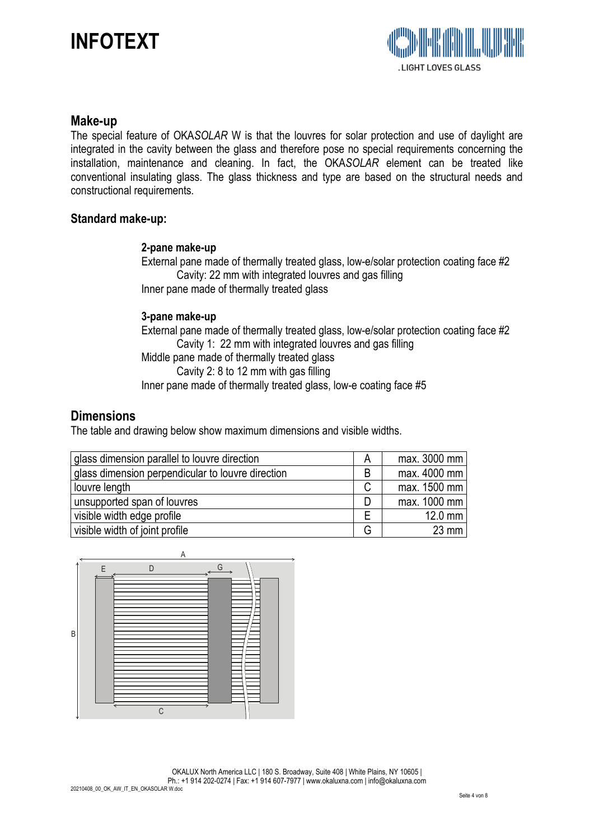

#### **Make-up**

The special feature of OKA*SOLAR* W is that the louvres for solar protection and use of daylight are integrated in the cavity between the glass and therefore pose no special requirements concerning the installation, maintenance and cleaning. In fact, the OKA*SOLAR* element can be treated like conventional insulating glass. The glass thickness and type are based on the structural needs and constructional requirements.

#### **Standard make-up:**

#### **2-pane make-up**

External pane made of thermally treated glass, low-e/solar protection coating face #2 Cavity: 22 mm with integrated louvres and gas filling Inner pane made of thermally treated glass

#### **3-pane make-up**

External pane made of thermally treated glass, low-e/solar protection coating face #2 Cavity 1: 22 mm with integrated louvres and gas filling Middle pane made of thermally treated glass Cavity 2: 8 to 12 mm with gas filling Inner pane made of thermally treated glass, low-e coating face #5

#### **Dimensions**

The table and drawing below show maximum dimensions and visible widths.

| glass dimension parallel to louvre direction      | A | max. 3000 mm |
|---------------------------------------------------|---|--------------|
| glass dimension perpendicular to louvre direction | B | max. 4000 mm |
| louvre length                                     | C | max. 1500 mm |
| unsupported span of louvres                       | D | max. 1000 mm |
| visible width edge profile                        | Е | $12.0$ mm    |
| visible width of joint profile                    | G | $23$ mm      |

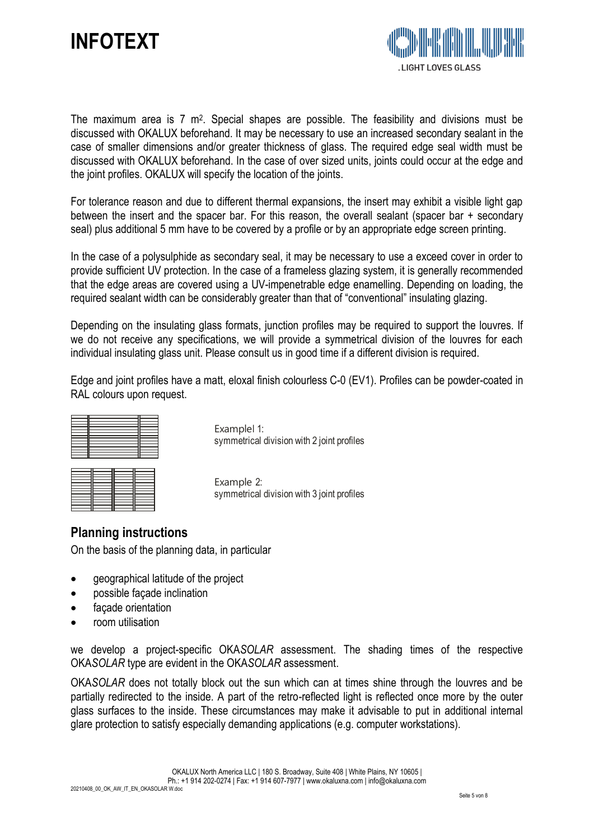



The maximum area is 7 m<sup>2</sup>. Special shapes are possible. The feasibility and divisions must be discussed with OKALUX beforehand. It may be necessary to use an increased secondary sealant in the case of smaller dimensions and/or greater thickness of glass. The required edge seal width must be discussed with OKALUX beforehand. In the case of over sized units, joints could occur at the edge and the joint profiles. OKALUX will specify the location of the joints.

For tolerance reason and due to different thermal expansions, the insert may exhibit a visible light gap between the insert and the spacer bar. For this reason, the overall sealant (spacer bar + secondary seal) plus additional 5 mm have to be covered by a profile or by an appropriate edge screen printing.

In the case of a polysulphide as secondary seal, it may be necessary to use a exceed cover in order to provide sufficient UV protection. In the case of a frameless glazing system, it is generally recommended that the edge areas are covered using a UV-impenetrable edge enamelling. Depending on loading, the required sealant width can be considerably greater than that of "conventional" insulating glazing.

Depending on the insulating glass formats, junction profiles may be required to support the louvres. If we do not receive any specifications, we will provide a symmetrical division of the louvres for each individual insulating glass unit. Please consult us in good time if a different division is required.

Edge and joint profiles have a matt, eloxal finish colourless C-0 (EV1). Profiles can be powder-coated in RAL colours upon request.

Examplel 1: symmetrical division with 2 joint profiles

Example 2: symmetrical division with 3 joint profiles

# **Planning instructions**

On the basis of the planning data, in particular

- geographical latitude of the project
- possible façade inclination
- façade orientation
- room utilisation

we develop a project-specific OKA*SOLAR* assessment. The shading times of the respective OKA*SOLAR* type are evident in the OKA*SOLAR* assessment.

OKA*SOLAR* does not totally block out the sun which can at times shine through the louvres and be partially redirected to the inside. A part of the retro-reflected light is reflected once more by the outer glass surfaces to the inside. These circumstances may make it advisable to put in additional internal glare protection to satisfy especially demanding applications (e.g. computer workstations).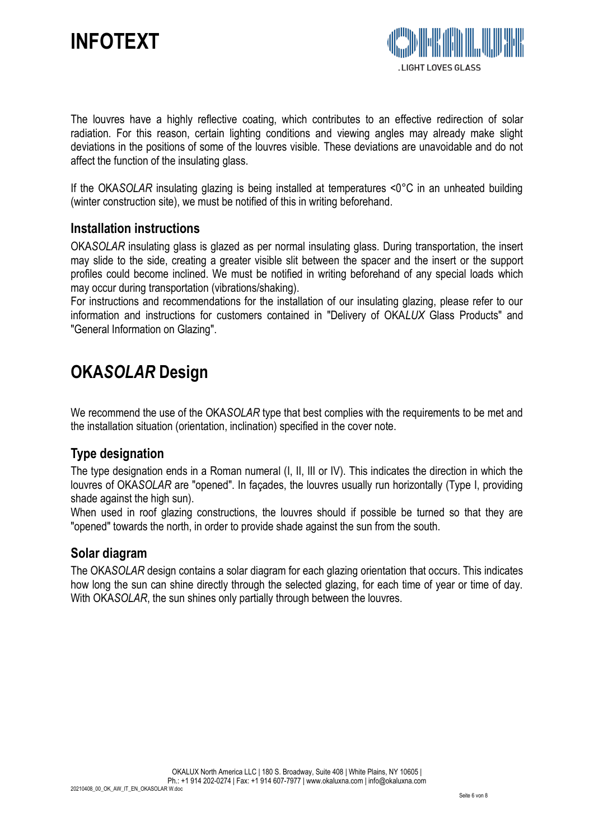

The louvres have a highly reflective coating, which contributes to an effective redirection of solar radiation. For this reason, certain lighting conditions and viewing angles may already make slight deviations in the positions of some of the louvres visible. These deviations are unavoidable and do not affect the function of the insulating glass.

If the OKA*SOLAR* insulating glazing is being installed at temperatures <0°C in an unheated building (winter construction site), we must be notified of this in writing beforehand.

#### **Installation instructions**

OKA*SOLAR* insulating glass is glazed as per normal insulating glass. During transportation, the insert may slide to the side, creating a greater visible slit between the spacer and the insert or the support profiles could become inclined. We must be notified in writing beforehand of any special loads which may occur during transportation (vibrations/shaking).

For instructions and recommendations for the installation of our insulating glazing, please refer to our information and instructions for customers contained in "Delivery of OKA*LUX* Glass Products" and "General Information on Glazing".

# **OKA***SOLAR* **Design**

We recommend the use of the OKA*SOLAR* type that best complies with the requirements to be met and the installation situation (orientation, inclination) specified in the cover note.

### **Type designation**

The type designation ends in a Roman numeral (I, II, III or IV). This indicates the direction in which the louvres of OKA*SOLAR* are "opened". In façades, the louvres usually run horizontally (Type I, providing shade against the high sun).

When used in roof glazing constructions, the louvres should if possible be turned so that they are "opened" towards the north, in order to provide shade against the sun from the south.

### **Solar diagram**

The OKA*SOLAR* design contains a solar diagram for each glazing orientation that occurs. This indicates how long the sun can shine directly through the selected glazing, for each time of year or time of day. With OKA*SOLAR*, the sun shines only partially through between the louvres.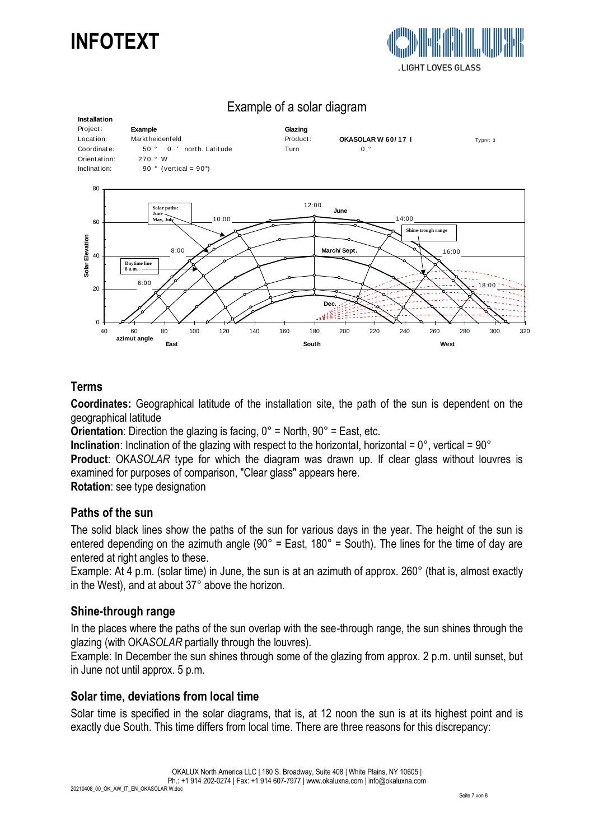



**Installation Installation**<br>Project: **Example**<br>Location: Marktheidenfeld **Project**<br>Location: Marktheidenfeld **Product Locat ion:** Marktallation: Example of a solar diagram<br>
Project: Example **Example State**<br>
Location: Marktheidenfeld Product: **OKASOLAR W 60/17 I** Typnr: 3<br>
Coordinate: 50 ° 0 ' north. Latitude Turn 0 ° **Example of a solar diagram**<br>
Project: Example Coordinate: Example Coordinate: 50 ° 0 ' north. Latitude Coordinate: 770 ° W **Installation<br>
Project:** Example<br>
Location: Marktheiden<br>
Coordinate: 50 ° 0<br>
Orientation: 270 ° W<br>
Inclination: 90 ° (ve Installation<br>
Project: Example<br>
Location: Marktheidenfeld<br>
Coordinate: 50 ° 0 ′ north. La<br>
Orientation: 270 ° W<br>
Inclination: 90 ° (vertical = 90°) **Höhenwinkel Dec.** June<br> **March/ Sept. June** 18:00 16:00 14:00 6:00  $8:00$ 10:00 12:00  $\Omega$  $\overline{20}$ 40 60 80 40 60 80 100 120 140 160 180 200 220 240 260 280 300 320 **azimut angle C**<br> **a a**<br> **a a**<br> **a**<br> **a**<br> **azimut angle**<br> **azimut angle East South West Solar paths: June May, July Daytime line 8 a.m. Shine-trough range**

# Example of a solar diagram

## **Terms**

**Coordinates:** Geographical latitude of the installation site, the path of the sun is dependent on the geographical latitude

**Orientation:** Direction the glazing is facing,  $0^{\circ}$  = North,  $90^{\circ}$  = East, etc.

**Inclination**: Inclination of the glazing with respect to the horizontal, horizontal =  $0^\circ$ , vertical =  $90^\circ$ **Product**: OKA*SOLAR* type for which the diagram was drawn up. If clear glass without louvres is examined for purposes of comparison, "Clear glass" appears here.

**Rotation:** see type designation

#### **Paths of the sun**

The solid black lines show the paths of the sun for various days in the year. The height of the sun is entered depending on the azimuth angle (90 $^{\circ}$  = East, 180 $^{\circ}$  = South). The lines for the time of day are entered at right angles to these.

Example: At 4 p.m. (solar time) in June, the sun is at an azimuth of approx. 260° (that is, almost exactly in the West), and at about 37° above the horizon.

#### **Shine-through range**

In the places where the paths of the sun overlap with the see-through range, the sun shines through the glazing (with OKA*SOLAR* partially through the louvres).

Example: In December the sun shines through some of the glazing from approx. 2 p.m. until sunset, but in June not until approx. 5 p.m.

#### **Solar time, deviations from local time**

Solar time is specified in the solar diagrams, that is, at 12 noon the sun is at its highest point and is exactly due South. This time differs from local time. There are three reasons for this discrepancy: